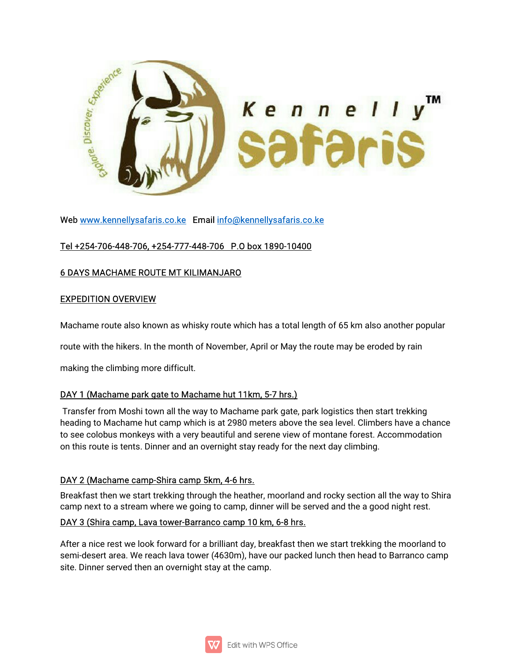

Web www.kennellysafaris.co.ke Email info@kennellysafaris.co.ke

# Tel+254-706-448-706,+254-777-448-706 P.Obox1890-10400

# 6DAYSMACHAMEROUTEMTKILIMANJARO

#### **EXPEDITION OVERVIEW**

Machame route also known as whisky route which has a total length of 65 km also another popular

route with the hikers. In the month of November, April or May the route may be eroded by rain

making the climbing more difficult.

#### DAY 1 (Machame park gate to Machame hut 11km, 5-7 hrs.)

Transfer from Moshi town all the way to Machame park gate, park logistics then start trekking heading to Machame hut camp which is at 2980 meters above the sea level. Climbers have a chance to see colobus monkeys with a very beautiful and serene view of montane forest. Accommodation on this route is tents. Dinner and an overnight stay ready for the next day climbing.

#### DAY 2 (Machame camp-Shira camp 5km, 4-6 hrs.

Breakfast then we start trekking through the heather, moorland and rocky section all the way to Shira camp next to a stream where we going to camp, dinner will be served and the a good night rest.

#### DAY 3 (Shira camp, Lava tower-Barranco camp 10 km, 6-8 hrs.

After a nice rest we look forward for a brilliant day, breakfast then we start trekking the moorland to semi-desert area. We reach lava tower (4630m), have our packed lunch then head to Barranco camp site. Dinner served then an overnight stay at the camp.

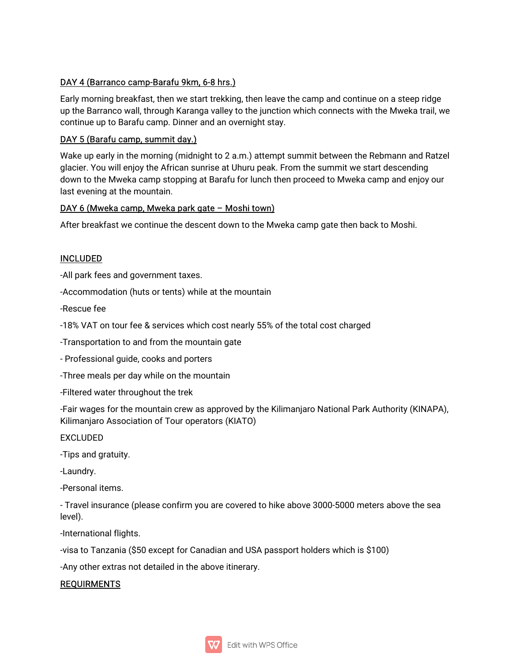# DAY 4 (Barranco camp-Barafu 9km, 6-8 hrs.)

Early morning breakfast, then we start trekking, then leave the camp and continue on a steep ridge up the Barranco wall, through Karanga valley to the junction which connects with the Mweka trail, we continue up to Barafu camp. Dinner and an overnight stay.

#### DAY 5 (Barafu camp, summit day.)

Wake up early in the morning (midnight to 2 a.m.) attempt summit between the Rebmann and Ratzel glacier. You will enjoy the African sunrise at Uhuru peak. From the summit we start descending down to the Mweka camp stopping at Barafu for lunch then proceed to Mweka camp and enjoy our last evening at the mountain.

#### DAY 6 (Mweka camp, Mweka park gate – Moshi town)

After breakfast we continue the descent down to the Mweka camp gate then back to Moshi.

# INCLUDED

-All park fees and government taxes.

-Accommodation (huts or tents) while at the mountain

-Rescue fee

-18% VAT on tour fee & services which cost nearly 55% of the total cost charged

-Transportation to and from the mountain gate

- Professional guide, cooks and porters

-Three meals per day while on the mountain

-Filtered water throughout the trek

-Fair wages for the mountain crew as approved by the Kilimanjaro National Park Authority (KINAPA), Kilimanjaro Association of Tour operators (KIATO)

EXCLUDED

-Tips and gratuity.

-Laundry.

-Personal items.

- Travel insurance (please confirm you are covered to hike above 3000-5000 meters above the sea level).

-International flights.

-visa to Tanzania (\$50 except for Canadian and USA passport holders which is \$100)

-Any other extras not detailed in the above itinerary.

#### REQUIRMENTS